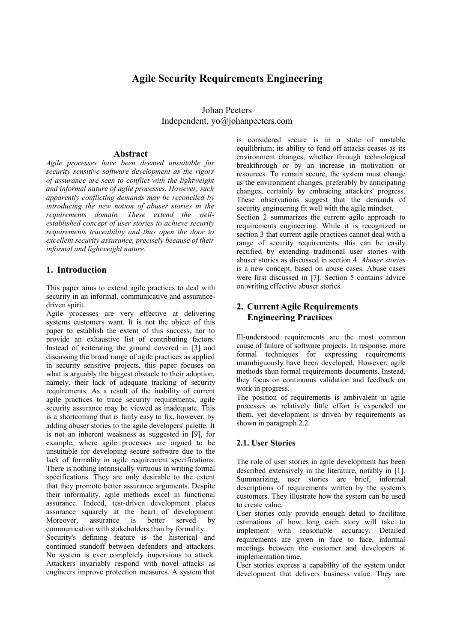# **Agile Security Requirements Engineering**

Johan Peeters Independent, yo@johanpeeters.com

#### **Abstract**

*Agile processes have been deemed unsuitable for security sensitive software development as the rigors of assurance are seen to conflict with the lightweight and informal nature of agile processes. However, such apparently conflicting demands may be reconciled by introducing the new notion of abuser stories in the requirements domain. These extend the wellestablished concept of user stories to achieve security requirements traceability and thus open the door to excellent security assurance, precisely because of their informal and lightweight nature.*

### **1. Introduction**

This paper aims to extend agile practices to deal with security in an informal, communicative and assurancedriven spirit.

Agile processes are very effective at delivering systems customers want. It is not the object of this paper to establish the extent of this success, nor to provide an exhaustive list of contributing factors. Instead of reiterating the ground covered in [3] and discussing the broad range of agile practices as applied in security sensitive projects, this paper focuses on what is arguably the biggest obstacle to their adoption, namely, their lack of adequate tracking of security requirements. As a result of the inability of current agile practices to trace security requirements, agile security assurance may be viewed as inadequate. This is a shortcoming that is fairly easy to fix, however, by adding abuser stories to the agile developers' palette. It is not an inherent weakness as suggested in [9], for example, where agile processes are argued to be unsuitable for developing secure software due to the lack of formality in agile requirement specifications. There is nothing intrinsically virtuous in writing formal specifications. They are only desirable to the extent that they promote better assurance arguments. Despite their informality, agile methods excel in functional assurance. Indeed, test-driven development places assurance squarely at the heart of development. Moreover, assurance is better served by communication with stakeholders than by formality. Security's defining feature is the historical and continued standoff between defenders and attackers. No system is ever completely impervious to attack. Attackers invariably respond with novel attacks as engineers improve protection measures. A system that is considered secure is in a state of unstable equilibrium; its ability to fend off attacks ceases as its environment changes, whether through technological breakthrough or by an increase in motivation or resources. To remain secure, the system must change as the environment changes, preferably by anticipating changes, certainly by embracing attackers' progress. These observations suggest that the demands of security engineering fit well with the agile mindset. Section 2 summarizes the current agile approach to requirements engineering. While it is recognized in section 3 that current agile practices cannot deal with a range of security requirements, this can be easily rectified by extending traditional user stories with abuser stories as discussed in section 4. *Abuser stories* is a new concept, based on abuse cases. Abuse cases were first discussed in [7]. Section 5 contains advice on writing effective abuser stories.

# **2. Current Agile Requirements Engineering Practices**

Ill-understood requirements are the most common cause of failure of software projects. In response, more formal techniques for expressing requirements unambiguously have been developed. However, agile methods shun formal requirements documents. Instead, they focus on continuous validation and feedback on work in progress.

The position of requirements is ambivalent in agile processes as relatively little effort is expended on them, yet development is driven by requirements as shown in paragraph 2.2.

### **2.1. User Stories**

The role of user stories in agile development has been described extensively in the literature, notably in [1]. Summarizing, user stories are brief, informal descriptions of requirements written by the system's customers. They illustrate how the system can be used to create value.

User stories only provide enough detail to facilitate estimations of how long each story will take to implement with reasonable accuracy. Detailed requirements are given in face to face, informal meetings between the customer and developers at implementation time.

User stories express a capability of the system under development that delivers business value. They are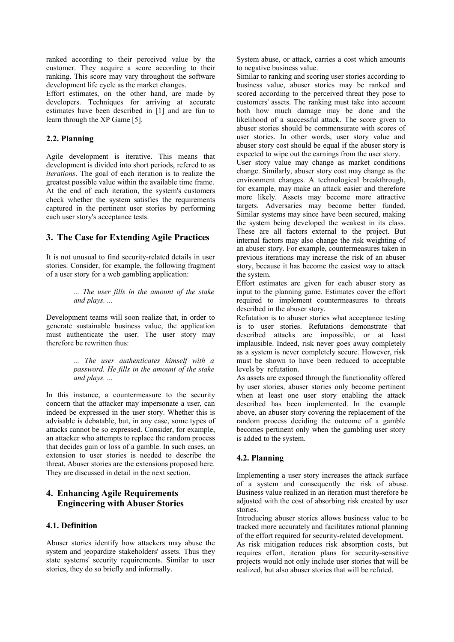ranked according to their perceived value by the customer. They acquire a score according to their ranking. This score may vary throughout the software development life cycle as the market changes.

Effort estimates, on the other hand, are made by developers. Techniques for arriving at accurate estimates have been described in [1] and are fun to learn through the XP Game [5].

#### **2.2. Planning**

Agile development is iterative. This means that development is divided into short periods, refered to as *iterations*. The goal of each iteration is to realize the greatest possible value within the available time frame. At the end of each iteration, the system's customers check whether the system satisfies the requirements captured in the pertinent user stories by performing each user story's acceptance tests.

# **3. The Case for Extending Agile Practices**

It is not unusual to find security-related details in user stories. Consider, for example, the following fragment of a user story for a web gambling application:

> *... The user fills in the amount of the stake and plays. ...*

Development teams will soon realize that, in order to generate sustainable business value, the application must authenticate the user. The user story may therefore be rewritten thus:

> *... The user authenticates himself with a password. He fills in the amount of the stake and plays. ...*

In this instance, a countermeasure to the security concern that the attacker may impersonate a user, can indeed be expressed in the user story. Whether this is advisable is debatable, but, in any case, some types of attacks cannot be so expressed. Consider, for example, an attacker who attempts to replace the random process that decides gain or loss of a gamble. In such cases, an extension to user stories is needed to describe the threat. Abuser stories are the extensions proposed here. They are discussed in detail in the next section.

# **4. Enhancing Agile Requirements Engineering with Abuser Stories**

#### **4.1. Definition**

Abuser stories identify how attackers may abuse the system and jeopardize stakeholders' assets. Thus they state systems' security requirements. Similar to user stories, they do so briefly and informally.

System abuse, or attack, carries a cost which amounts to negative business value.

Similar to ranking and scoring user stories according to business value, abuser stories may be ranked and scored according to the perceived threat they pose to customers' assets. The ranking must take into account both how much damage may be done and the likelihood of a successful attack. The score given to abuser stories should be commensurate with scores of user stories. In other words, user story value and abuser story cost should be equal if the abuser story is expected to wipe out the earnings from the user story.

User story value may change as market conditions change. Similarly, abuser story cost may change as the environment changes. A technological breakthrough, for example, may make an attack easier and therefore more likely. Assets may become more attractive targets. Adversaries may become better funded. Similar systems may since have been secured, making the system being developed the weakest in its class. These are all factors external to the project. But internal factors may also change the risk weighting of an abuser story. For example, countermeasures taken in previous iterations may increase the risk of an abuser story, because it has become the easiest way to attack the system.

Effort estimates are given for each abuser story as input to the planning game. Estimates cover the effort required to implement countermeasures to threats described in the abuser story.

Refutation is to abuser stories what acceptance testing is to user stories. Refutations demonstrate that described attacks are impossible, or at least implausible. Indeed, risk never goes away completely as a system is never completely secure. However, risk must be shown to have been reduced to acceptable levels by refutation.

As assets are exposed through the functionality offered by user stories, abuser stories only become pertinent when at least one user story enabling the attack described has been implemented. In the example above, an abuser story covering the replacement of the random process deciding the outcome of a gamble becomes pertinent only when the gambling user story is added to the system.

### **4.2. Planning**

Implementing a user story increases the attack surface of a system and consequently the risk of abuse. Business value realized in an iteration must therefore be adjusted with the cost of absorbing risk created by user stories.

Introducing abuser stories allows business value to be tracked more accurately and facilitates rational planning of the effort required for security-related development.

As risk mitigation reduces risk absorption costs, but requires effort, iteration plans for security-sensitive projects would not only include user stories that will be realized, but also abuser stories that will be refuted.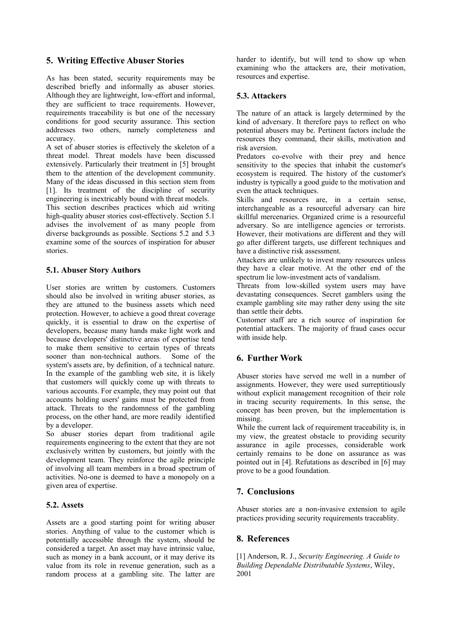# **5. Writing Effective Abuser Stories**

As has been stated, security requirements may be described briefly and informally as abuser stories. Although they are lightweight, low-effort and informal, they are sufficient to trace requirements. However, requirements traceability is but one of the necessary conditions for good security assurance. This section addresses two others, namely completeness and accuracy.

A set of abuser stories is effectively the skeleton of a threat model. Threat models have been discussed extensively. Particularly their treatment in [5] brought them to the attention of the development community. Many of the ideas discussed in this section stem from [1]. Its treatment of the discipline of security engineering is inextricably bound with threat models.

This section describes practices which aid writing high-quality abuser stories cost-effectively. Section 5.1 advises the involvement of as many people from diverse backgrounds as possible. Sections 5.2 and 5.3 examine some of the sources of inspiration for abuser stories.

### **5.1. Abuser Story Authors**

User stories are written by customers. Customers should also be involved in writing abuser stories, as they are attuned to the business assets which need protection. However, to achieve a good threat coverage quickly, it is essential to draw on the expertise of developers, because many hands make light work and because developers' distinctive areas of expertise tend to make them sensitive to certain types of threats sooner than non-technical authors. Some of the system's assets are, by definition, of a technical nature. In the example of the gambling web site, it is likely that customers will quickly come up with threats to various accounts. For example, they may point out that accounts holding users' gains must be protected from attack. Threats to the randomness of the gambling process, on the other hand, are more readily identified by a developer.

So abuser stories depart from traditional agile requirements engineering to the extent that they are not exclusively written by customers, but jointly with the development team. They reinforce the agile principle of involving all team members in a broad spectrum of activities. No-one is deemed to have a monopoly on a given area of expertise.

#### **5.2. Assets**

Assets are a good starting point for writing abuser stories. Anything of value to the customer which is potentially accessible through the system, should be considered a target. An asset may have intrinsic value, such as money in a bank account, or it may derive its value from its role in revenue generation, such as a random process at a gambling site. The latter are

harder to identify, but will tend to show up when examining who the attackers are, their motivation, resources and expertise.

#### **5.3. Attackers**

The nature of an attack is largely determined by the kind of adversary. It therefore pays to reflect on who potential abusers may be. Pertinent factors include the resources they command, their skills, motivation and risk aversion.

Predators co-evolve with their prey and hence sensitivity to the species that inhabit the customer's ecosystem is required. The history of the customer's industry is typically a good guide to the motivation and even the attack techniques.

Skills and resources are, in a certain sense, interchangeable as a resourceful adversary can hire skillful mercenaries. Organized crime is a resourceful adversary. So are intelligence agencies or terrorists. However, their motivations are different and they will go after different targets, use different techniques and have a distinctive risk assessment.

Attackers are unlikely to invest many resources unless they have a clear motive. At the other end of the spectrum lie low-investment acts of vandalism.

Threats from low-skilled system users may have devastating consequences. Secret gamblers using the example gambling site may rather deny using the site than settle their debts.

Customer staff are a rich source of inspiration for potential attackers. The majority of fraud cases occur with inside help.

# **6. Further Work**

Abuser stories have served me well in a number of assignments. However, they were used surreptitiously without explicit management recognition of their role in tracing security requirements. In this sense, the concept has been proven, but the implementation is missing.

While the current lack of requirement traceability is, in my view, the greatest obstacle to providing security assurance in agile processes, considerable work certainly remains to be done on assurance as was pointed out in [4]. Refutations as described in [6] may prove to be a good foundation.

# **7. Conclusions**

Abuser stories are a non-invasive extension to agile practices providing security requirements traceablity.

### **8. References**

[1] Anderson, R. J., *Security Engineering. A Guide to Building Dependable Distributable Systems*, Wiley, 2001